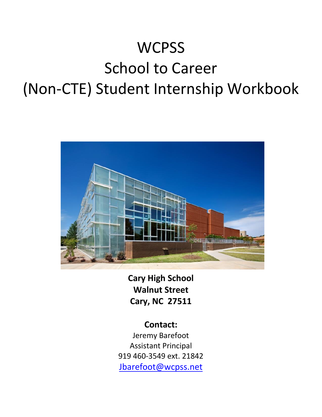# **WCPSS** School to Career (Non-CTE) Student Internship Workbook



**Cary High School Walnut Street Cary, NC 27511**

**Contact:** Jeremy Barefoot Assistant Principal 919 460-3549 ext. 21842 [Jbarefoot@wcpss.net](mailto:Jbarefoot@wcpss.net)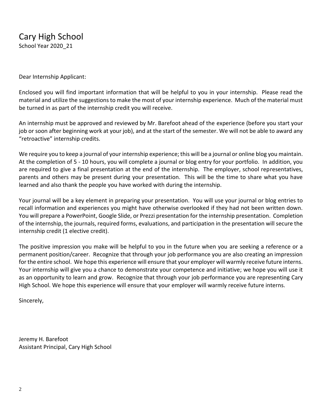Dear Internship Applicant:

Enclosed you will find important information that will be helpful to you in your internship. Please read the material and utilize the suggestions to make the most of your internship experience. Much of the material must be turned in as part of the internship credit you will receive.

An internship must be approved and reviewed by Mr. Barefoot ahead of the experience (before you start your job or soon after beginning work at your job), and at the start of the semester. We will not be able to award any "retroactive" internship credits.

We require you to keep a journal of your internship experience; this will be a journal or online blog you maintain. At the completion of 5 - 10 hours, you will complete a journal or blog entry for your portfolio. In addition, you are required to give a final presentation at the end of the internship. The employer, school representatives, parents and others may be present during your presentation. This will be the time to share what you have learned and also thank the people you have worked with during the internship.

Your journal will be a key element in preparing your presentation. You will use your journal or blog entries to recall information and experiences you might have otherwise overlooked if they had not been written down. You will prepare a PowerPoint, Google Slide, or Prezzi presentation for the internship presentation. Completion of the internship, the journals, required forms, evaluations, and participation in the presentation will secure the internship credit (1 elective credit).

The positive impression you make will be helpful to you in the future when you are seeking a reference or a permanent position/career. Recognize that through your job performance you are also creating an impression for the entire school. We hope this experience will ensure that your employer will warmly receive future interns. Your internship will give you a chance to demonstrate your competence and initiative; we hope you will use it as an opportunity to learn and grow. Recognize that through your job performance you are representing Cary High School. We hope this experience will ensure that your employer will warmly receive future interns.

Sincerely,

Jeremy H. Barefoot Assistant Principal, Cary High School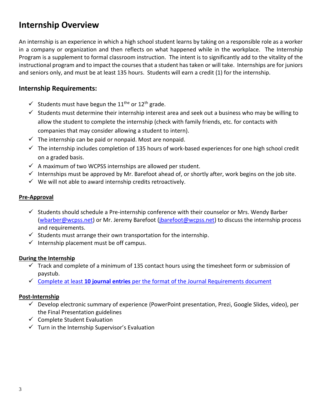# **Internship Overview**

An internship is an experience in which a high school student learns by taking on a responsible role as a worker in a company or organization and then reflects on what happened while in the workplace. The Internship Program is a supplement to formal classroom instruction. The intent is to significantly add to the vitality of the instructional program and to impact the courses that a student has taken or will take. Internships are for juniors and seniors only, and must be at least 135 hours. Students will earn a credit (1) for the internship.

### **Internship Requirements:**

- $\checkmark$  Students must have begun the 11<sup>the</sup> or 12<sup>th</sup> grade.
- $\checkmark$  Students must determine their internship interest area and seek out a business who may be willing to allow the student to complete the internship (check with family friends, etc. for contacts with companies that may consider allowing a student to intern).
- $\checkmark$  The internship can be paid or nonpaid. Most are nonpaid.
- $\checkmark$  The internship includes completion of 135 hours of work-based experiences for one high school credit on a graded basis.
- $\checkmark$  A maximum of two WCPSS internships are allowed per student.
- $\checkmark$  Internships must be approved by Mr. Barefoot ahead of, or shortly after, work begins on the job site.
- $\checkmark$  We will not able to award internship credits retroactively.

#### **Pre-Approval**

- $\checkmark$  Students should schedule a Pre-internship conference with their counselor or Mrs. Wendy Barber [\(wbarber@wcpss.net\)](mailto:wbarber@wcpss.net) or Mr. Jeremy Barefoot [\(jbarefoot@wcpss.net\)](mailto:jbarefoot@wcpss.net) to discuss the internship process and requirements.
- $\checkmark$  Students must arrange their own transportation for the internship.
- $\checkmark$  Internship placement must be off campus.

#### **During the Internship**

- $\checkmark$  Track and complete of a minimum of 135 contact hours using the timesheet form or submission of paystub.
- ✓ Complete at least **10 journal entries** [per the format of the Journal Requirements document](https://docs.google.com/document/d/1b0hTH0fxLrYVBv65q1ZcjmqsH96W2egkups8h_e8BVY/copy)

#### **Post-Internship**

- $\checkmark$  Develop electronic summary of experience (PowerPoint presentation, Prezi, Google Slides, video), per the Final Presentation guidelines
- $\checkmark$  Complete Student Evaluation
- $\checkmark$  Turn in the Internship Supervisor's Evaluation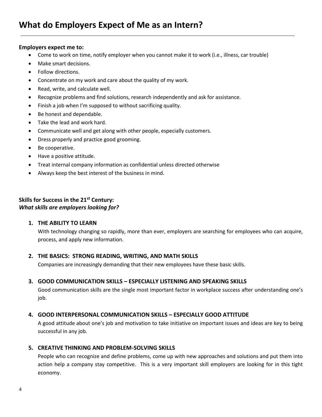#### **Employers expect me to:**

- Come to work on time, notify employer when you cannot make it to work (i.e., illness, car trouble)
- Make smart decisions.
- Follow directions.
- Concentrate on my work and care about the quality of my work.
- Read, write, and calculate well.
- Recognize problems and find solutions, research independently and ask for assistance.
- Finish a job when I'm supposed to without sacrificing quality.
- Be honest and dependable.
- Take the lead and work hard.
- Communicate well and get along with other people, especially customers.
- Dress properly and practice good grooming.
- Be cooperative.
- Have a positive attitude.
- Treat internal company information as confidential unless directed otherwise
- Always keep the best interest of the business in mind.

#### **Skills for Success in the 21st Century:** *What skills are employers looking for?*

#### **1. THE ABILITY TO LEARN**

With technology changing so rapidly, more than ever, employers are searching for employees who can acquire, process, and apply new information.

#### **2. THE BASICS: STRONG READING, WRITING, AND MATH SKILLS**

Companies are increasingly demanding that their new employees have these basic skills.

#### **3. GOOD COMMUNICATION SKILLS – ESPECIALLY LISTENING AND SPEAKING SKILLS**

Good communication skills are the single most important factor in workplace success after understanding one's job.

#### **4. GOOD INTERPERSONAL COMMUNICATION SKILLS – ESPECIALLY GOOD ATTITUDE**

A good attitude about one's job and motivation to take initiative on important issues and ideas are key to being successful in any job.

#### **5. CREATIVE THINKING AND PROBLEM-SOLVING SKILLS**

People who can recognize and define problems, come up with new approaches and solutions and put them into action help a company stay competitive. This is a very important skill employers are looking for in this tight economy.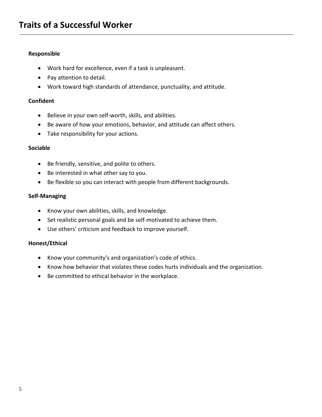#### **Responsible**

- Work hard for excellence, even if a task is unpleasant.
- Pay attention to detail.
- Work toward high standards of attendance, punctuality, and attitude.

#### **Confident**

- Believe in your own self-worth, skills, and abilities.
- Be aware of how your emotions, behavior, and attitude can affect others.
- Take responsibility for your actions.

#### **Sociable**

- Be friendly, sensitive, and polite to others.
- Be interested in what other say to you.
- Be flexible so you can interact with people from different backgrounds.

#### **Self-Managing**

- Know your own abilities, skills, and knowledge.
- Set realistic personal goals and be self-motivated to achieve them.
- Use others' criticism and feedback to improve yourself.

#### **Honest/Ethical**

- Know your community's and organization's code of ethics.
- Know how behavior that violates these codes hurts individuals and the organization.
- Be committed to ethical behavior in the workplace.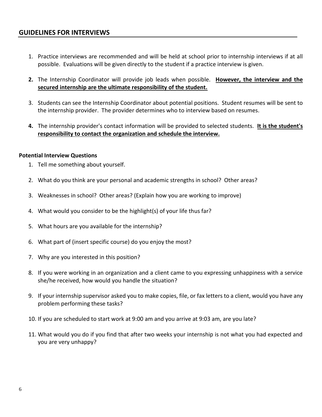#### **GUIDELINES FOR INTERVIEWS**

- 1. Practice interviews are recommended and will be held at school prior to internship interviews if at all possible. Evaluations will be given directly to the student if a practice interview is given.
- **2.** The Internship Coordinator will provide job leads when possible. **However, the interview and the secured internship are the ultimate responsibility of the student.**
- 3. Students can see the Internship Coordinator about potential positions. Student resumes will be sent to the internship provider. The provider determines who to interview based on resumes.
- **4.** The internship provider's contact information will be provided to selected students. **It is the student's responsibility to contact the organization and schedule the interview.**

#### **Potential Interview Questions**

- 1. Tell me something about yourself.
- 2. What do you think are your personal and academic strengths in school? Other areas?
- 3. Weaknesses in school? Other areas? (Explain how you are working to improve)
- 4. What would you consider to be the highlight(s) of your life thus far?
- 5. What hours are you available for the internship?
- 6. What part of (insert specific course) do you enjoy the most?
- 7. Why are you interested in this position?
- 8. If you were working in an organization and a client came to you expressing unhappiness with a service she/he received, how would you handle the situation?
- 9. If your internship supervisor asked you to make copies, file, or fax letters to a client, would you have any problem performing these tasks?
- 10. If you are scheduled to start work at 9:00 am and you arrive at 9:03 am, are you late?
- 11. What would you do if you find that after two weeks your internship is not what you had expected and you are very unhappy?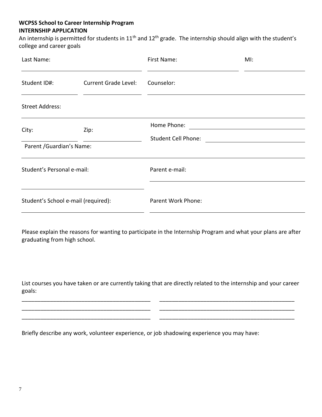#### **WCPSS School to Career Internship Program INTERNSHIP APPLICATION**

An internship is permitted for students in 11<sup>th</sup> and 12<sup>th</sup> grade. The internship should align with the student's college and career goals

| Last Name:                                  |  | First Name:                               | MI: |  |  |  |
|---------------------------------------------|--|-------------------------------------------|-----|--|--|--|
| Student ID#:<br><b>Current Grade Level:</b> |  | Counselor:                                |     |  |  |  |
| <b>Street Address:</b>                      |  |                                           |     |  |  |  |
| City:<br>Zip:                               |  | Home Phone:<br><b>Student Cell Phone:</b> |     |  |  |  |
| Parent / Guardian's Name:                   |  |                                           |     |  |  |  |
| Student's Personal e-mail:                  |  | Parent e-mail:                            |     |  |  |  |
| Student's School e-mail (required):         |  | Parent Work Phone:                        |     |  |  |  |

Please explain the reasons for wanting to participate in the Internship Program and what your plans are after graduating from high school.

List courses you have taken or are currently taking that are directly related to the internship and your career goals:

\_\_\_\_\_\_\_\_\_\_\_\_\_\_\_\_\_\_\_\_\_\_\_\_\_\_\_\_\_\_\_\_\_\_\_\_\_\_\_\_\_ \_\_\_\_\_\_\_\_\_\_\_\_\_\_\_\_\_\_\_\_\_\_\_\_\_\_\_\_\_\_\_\_\_\_\_\_\_\_\_\_\_\_\_ \_\_\_\_\_\_\_\_\_\_\_\_\_\_\_\_\_\_\_\_\_\_\_\_\_\_\_\_\_\_\_\_\_\_\_\_\_\_\_\_\_ \_\_\_\_\_\_\_\_\_\_\_\_\_\_\_\_\_\_\_\_\_\_\_\_\_\_\_\_\_\_\_\_\_\_\_\_\_\_\_\_\_\_\_ \_\_\_\_\_\_\_\_\_\_\_\_\_\_\_\_\_\_\_\_\_\_\_\_\_\_\_\_\_\_\_\_\_\_\_\_\_\_\_\_\_ \_\_\_\_\_\_\_\_\_\_\_\_\_\_\_\_\_\_\_\_\_\_\_\_\_\_\_\_\_\_\_\_\_\_\_\_\_\_\_\_\_\_\_

Briefly describe any work, volunteer experience, or job shadowing experience you may have: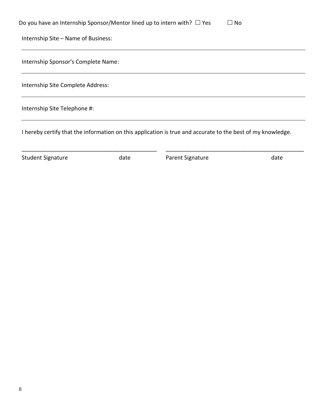| Do you have an Internship Sponsor/Mentor lined up to intern with? $\Box$ Yes<br>$\square$ No |
|----------------------------------------------------------------------------------------------|
| Internship Site - Name of Business:                                                          |
| Internship Sponsor's Complete Name:                                                          |
| Internship Site Complete Address:                                                            |
| Internship Site Telephone #:                                                                 |

I hereby certify that the information on this application is true and accurate to the best of my knowledge.

\_\_\_\_\_\_\_\_\_\_\_\_\_\_\_\_\_\_\_\_\_\_\_\_\_\_\_\_\_\_\_\_\_\_\_\_\_\_\_\_\_\_\_ \_\_\_\_\_\_\_\_\_\_\_\_\_\_\_\_\_\_\_\_\_\_\_\_\_\_\_\_\_\_\_\_\_\_\_\_\_\_\_\_\_\_\_\_

Student Signature and at date and the Parent Signature date date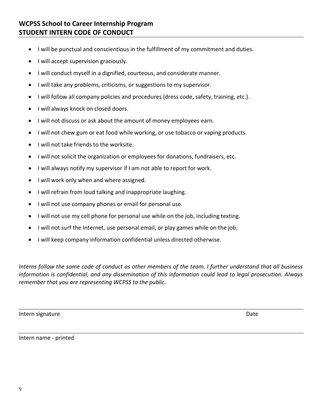# **WCPSS School to Career Internship Program STUDENT INTERN CODE OF CONDUCT**

- I will be punctual and conscientious in the fulfillment of my commitment and duties.
- I will accept supervision graciously.
- I will conduct myself in a dignified, courteous, and considerate manner.
- I will take any problems, criticisms, or suggestions to my supervisor.
- I will follow all company policies and procedures (dress code, safety, training, etc.).
- I will always knock on closed doors.
- I will not discuss or ask about the amount of money employees earn.
- I will not chew gum or eat food while working, or use tobacco or vaping products.
- I will not take friends to the worksite.
- I will not solicit the organization or employees for donations, fundraisers, etc.
- I will always notify my supervisor if I am not able to report for work.
- I will work only when and where assigned.
- I will refrain from loud talking and inappropriate laughing.
- I will not use company phones or email for personal use.
- I will not use my cell phone for personal use while on the job, including texting.
- I will not surf the Internet, use personal email, or play games while on the job.
- I will keep company information confidential unless directed otherwise.

*Interns follow the same code of conduct as other members of the team. I further understand that all business information is confidential, and any dissemination of this information could lead to legal prosecution. Always remember that you are representing WCPSS to the public.*

Intern signature Date Date of the United States of the United States of the Date Date Only 10 and 2012 10:00  $\mu$ 

Intern name - printed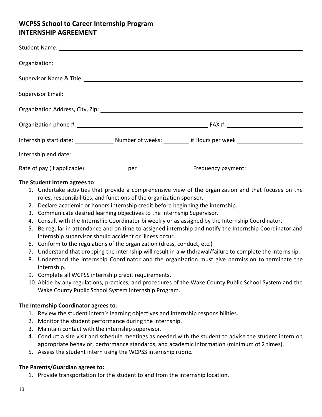# **WCPSS School to Career Internship Program INTERNSHIP AGREEMENT**

| Organization Address, City, Zip: 1988) 2022 12: 2022 2023 2024 2024 2022 2024 2022 2024 2022 2023 2024 2022 20 |  |  |
|----------------------------------------------------------------------------------------------------------------|--|--|
|                                                                                                                |  |  |
|                                                                                                                |  |  |
| Internship end date: _______________                                                                           |  |  |
|                                                                                                                |  |  |

#### **The Student Intern agrees to**:

- 1. Undertake activities that provide a comprehensive view of the organization and that focuses on the roles, responsibilities, and functions of the organization sponsor.
- 2. Declare academic or honors internship credit before beginning the internship.
- 3. Communicate desired learning objectives to the Internship Supervisor.
- 4. Consult with the Internship Coordinator bi weekly or as assigned by the Internship Coordinator.
- 5. Be regular in attendance and on time to assigned internship and notify the Internship Coordinator and internship supervisor should accident or illness occur.
- 6. Conform to the regulations of the organization (dress, conduct, etc.)
- 7. Understand that dropping the internship will result in a withdrawal/failure to complete the internship.
- 8. Understand the Internship Coordinator and the organization must give permission to terminate the internship.
- 9. Complete all WCPSS internship credit requirements.
- 10. Abide by any regulations, practices, and procedures of the Wake County Public School System and the Wake County Public School System Internship Program.

#### **The Internship Coordinator agrees to**:

- 1. Review the student intern's learning objectives and internship responsibilities.
- 2. Monitor the student performance during the internship.
- 3. Maintain contact with the internship supervisor.
- 4. Conduct a site visit and schedule meetings as needed with the student to advise the student intern on appropriate behavior, performance standards, and academic information (minimum of 2 times).
- 5. Assess the student intern using the WCPSS internship rubric.

#### **The Parents/Guardian agrees to:**

1. Provide transportation for the student to and from the internship location.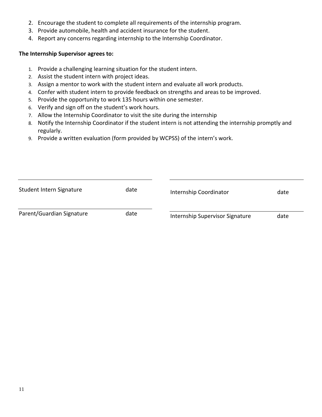- 2. Encourage the student to complete all requirements of the internship program.
- 3. Provide automobile, health and accident insurance for the student.
- 4. Report any concerns regarding internship to the Internship Coordinator.

#### **The Internship Supervisor agrees to:**

- 1. Provide a challenging learning situation for the student intern.
- 2. Assist the student intern with project ideas.
- 3. Assign a mentor to work with the student intern and evaluate all work products.
- 4. Confer with student intern to provide feedback on strengths and areas to be improved.
- 5. Provide the opportunity to work 135 hours within one semester.
- 6. Verify and sign off on the student's work hours.
- 7. Allow the Internship Coordinator to visit the site during the internship
- 8. Notify the Internship Coordinator if the student intern is not attending the internship promptly and regularly.
- 9. Provide a written evaluation (form provided by WCPSS) of the intern's work.

| Student Intern Signature<br>date |      | Internship Coordinator          | date |  |
|----------------------------------|------|---------------------------------|------|--|
| Parent/Guardian Signature        | date | Internship Supervisor Signature | date |  |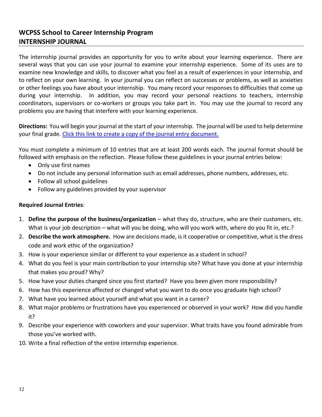# **WCPSS School to Career Internship Program INTERNSHIP JOURNAL**

The internship journal provides an opportunity for you to write about your learning experience. There are several ways that you can use your journal to examine your internship experience. Some of its uses are to examine new knowledge and skills, to discover what you feel as a result of experiences in your internship, and to reflect on your own learning. In your journal you can reflect on successes or problems, as well as anxieties or other feelings you have about your internship. You many record your responses to difficulties that come up during your internship. In addition, you may record your personal reactions to teachers, internship coordinators, supervisors or co-workers or groups you take part in. You may use the journal to record any problems you are having that interfere with your learning experience.

**Directions:** You will begin your journal at the start of your internship. The journal will be used to help determine your final grade. [Click this link to create a copy of the journal entry document.](https://docs.google.com/document/d/1b0hTH0fxLrYVBv65q1ZcjmqsH96W2egkups8h_e8BVY/copy)

You must complete a minimum of 10 entries that are at least 200 words each. The journal format should be followed with emphasis on the reflection. Please follow these guidelines in your journal entries below:

- Only use first names
- Do not include any personal information such as email addresses, phone numbers, addresses, etc.
- Follow all school guidelines
- Follow any guidelines provided by your supervisor

#### **Required Journal Entries**:

- 1. **Define the purpose of the business/organization** what they do, structure, who are their customers, etc. What is your job description – what will you be doing, who will you work with, where do you fit in, etc.?
- 2. **Describe the work atmosphere.** How are decisions made, is it cooperative or competitive, what is the dress code and work ethic of the organization?
- 3. How is your experience similar or different to your experience as a student in school?
- 4. What do you feel is your main contribution to your internship site? What have you done at your internship that makes you proud? Why?
- 5. How have your duties changed since you first started? Have you been given more responsibility?
- 6. How has this experience affected or changed what you want to do once you graduate high school?
- 7. What have you learned about yourself and what you want in a career?
- 8. What major problems or frustrations have you experienced or observed in your work? How did you handle it?
- 9. Describe your experience with coworkers and your supervisor. What traits have you found admirable from those you've worked with.
- 10. Write a final reflection of the entire internship experience.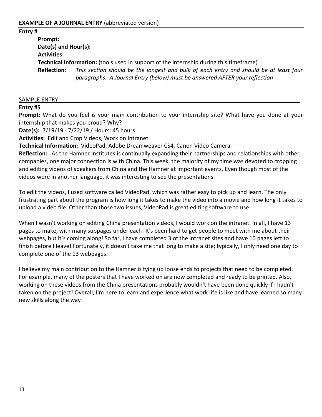**Entry #** 

**Prompt: Date(s) and Hour(s): Activities: Technical Information:** (tools used in support of the internship during this timeframe) **Reflection**: *This section should be the longest and bulk of each entry and should be at least four paragraphs. A Journal Entry (below) must be answered AFTER your reflection*

#### SAMPLE ENTRY

#### **[Entry #5](http://kellyaoit.blogspot.com/2010/07/post-5.html)**

**Prompt:** What do you feel is your main contribution to your internship site? What have you done at your internship that makes you proud? Why?

**Date(s):** 7/19/19 - 7/22/19 / Hours: 45 hours

**Activities:** Edit and Crop Videos, Work on Intranet

**Technical Information:** VideoPad, Adobe Dreamweaver CS4, Canon Video Camera

**Reflection:** As the Hamner Institutes is continually expanding their partnerships and relationships with other companies, one major connection is with China. This week, the majority of my time was devoted to cropping and editing videos of speakers from China and the Hamner at important events. Even though most of the videos were in another language, it was interesting to see the presentations.

To edit the videos, I used software called VideoPad, which was rather easy to pick up and learn. The only frustrating part about the program is how long it takes to make the video into a movie and how long it takes to upload a video file. Other than those two issues, VideoPad is great editing software to use!

When I wasn't working on editing China presentation videos, I would work on the intranet. In all, I have 13 pages to make, with many subpages under each! It's been hard to get people to meet with me about their webpages, but it's coming along! So far, I have completed 3 of the intranet sites and have 10 pages left to finish before I leave! Fortunately, it doesn't take me that long to make a site; typically, I only need one day to complete one of the 13 webpages.

I believe my main contribution to the Hamner is tying up loose ends to projects that need to be completed. For example, many of the posters that I have worked on are now completed and ready to be printed. Also, working on these videos from the China presentations probably wouldn't have been done quickly if I hadn't taken on the project! Overall, I'm here to learn and experience what work life is like and have learned so many new skills along the way!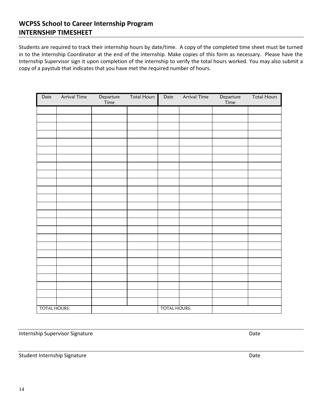## **WCPSS School to Career Internship Program INTERNSHIP TIMESHEET**

Students are required to track their internship hours by date/time. A copy of the completed time sheet must be turned in to the Internship Coordinator at the end of the internship. Make copies of this form as necessary. Please have the Internship Supervisor sign it upon completion of the internship to verify the total hours worked. You may also submit a copy of a paystub that indicates that you have met the required number of hours.

| Date                | <b>Arrival Time</b> | Departure<br>Time   | <b>Total Hours</b> | Date | Arrival Time | Departure<br>Time | <b>Total Hours</b> |
|---------------------|---------------------|---------------------|--------------------|------|--------------|-------------------|--------------------|
|                     |                     |                     |                    |      |              |                   |                    |
|                     |                     |                     |                    |      |              |                   |                    |
|                     |                     |                     |                    |      |              |                   |                    |
|                     |                     |                     |                    |      |              |                   |                    |
|                     |                     |                     |                    |      |              |                   |                    |
|                     |                     |                     |                    |      |              |                   |                    |
|                     |                     |                     |                    |      |              |                   |                    |
|                     |                     |                     |                    |      |              |                   |                    |
|                     |                     |                     |                    |      |              |                   |                    |
|                     |                     |                     |                    |      |              |                   |                    |
|                     |                     |                     |                    |      |              |                   |                    |
|                     |                     |                     |                    |      |              |                   |                    |
|                     |                     |                     |                    |      |              |                   |                    |
|                     |                     |                     |                    |      |              |                   |                    |
|                     |                     |                     |                    |      |              |                   |                    |
|                     |                     |                     |                    |      |              |                   |                    |
|                     |                     |                     |                    |      |              |                   |                    |
|                     |                     |                     |                    |      |              |                   |                    |
|                     |                     |                     |                    |      |              |                   |                    |
|                     |                     |                     |                    |      |              |                   |                    |
|                     |                     |                     |                    |      |              |                   |                    |
|                     |                     |                     |                    |      |              |                   |                    |
|                     |                     |                     |                    |      |              |                   |                    |
|                     |                     |                     |                    |      |              |                   |                    |
|                     |                     |                     |                    |      |              |                   |                    |
| <b>TOTAL HOURS:</b> |                     | <b>TOTAL HOURS:</b> |                    |      |              |                   |                    |

Internship Supervisor Signature Date Date Controller and Date Date Date Date

Student Internship Signature Date Date Communications and Date Date Date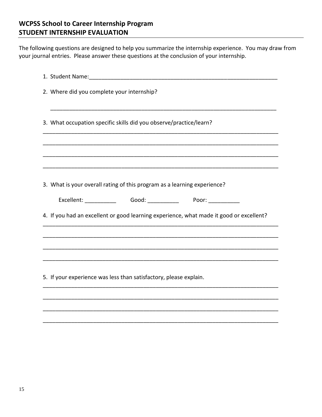# **WCPSS School to Career Internship Program STUDENT INTERNSHIP EVALUATION**

The following questions are designed to help you summarize the internship experience. You may draw from your journal entries. Please answer these questions at the conclusion of your internship.

| 2. Where did you complete your internship?                                              |
|-----------------------------------------------------------------------------------------|
| 3. What occupation specific skills did you observe/practice/learn?                      |
|                                                                                         |
| 3. What is your overall rating of this program as a learning experience?                |
| Excellent: ______________  Good: _____________  Poor: ____________                      |
| 4. If you had an excellent or good learning experience, what made it good or excellent? |
|                                                                                         |
|                                                                                         |
| 5. If your experience was less than satisfactory, please explain.                       |
|                                                                                         |

\_\_\_\_\_\_\_\_\_\_\_\_\_\_\_\_\_\_\_\_\_\_\_\_\_\_\_\_\_\_\_\_\_\_\_\_\_\_\_\_\_\_\_\_\_\_\_\_\_\_\_\_\_\_\_\_\_\_\_\_\_\_\_\_\_\_\_\_\_\_\_\_\_\_\_

\_\_\_\_\_\_\_\_\_\_\_\_\_\_\_\_\_\_\_\_\_\_\_\_\_\_\_\_\_\_\_\_\_\_\_\_\_\_\_\_\_\_\_\_\_\_\_\_\_\_\_\_\_\_\_\_\_\_\_\_\_\_\_\_\_\_\_\_\_\_\_\_\_\_\_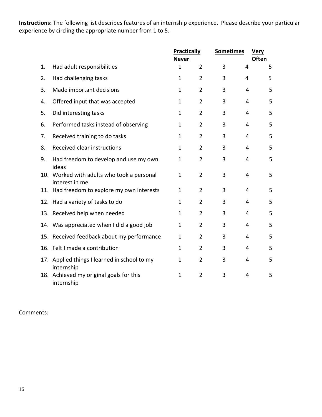**Instructions:** The following list describes features of an internship experience. Please describe your particular experience by circling the appropriate number from 1 to 5.

|    |                                                              | <b>Practically</b><br><b>Never</b> |                | <b>Sometimes</b> |                | <u>Very</u><br><b>Often</b> |
|----|--------------------------------------------------------------|------------------------------------|----------------|------------------|----------------|-----------------------------|
| 1. | Had adult responsibilities                                   | $\mathbf{1}$                       | $\overline{2}$ | 3                | 4              | 5                           |
| 2. | Had challenging tasks                                        | $\mathbf{1}$                       | $\overline{2}$ | 3                | 4              | 5                           |
| 3. | Made important decisions                                     | 1                                  | $\overline{2}$ | 3                | 4              | 5                           |
| 4. | Offered input that was accepted                              | $\mathbf 1$                        | $\overline{2}$ | 3                | 4              | 5                           |
| 5. | Did interesting tasks                                        | $\mathbf{1}$                       | $\overline{2}$ | 3                | 4              | 5                           |
| 6. | Performed tasks instead of observing                         | $\mathbf{1}$                       | $\overline{2}$ | 3                | 4              | 5                           |
| 7. | Received training to do tasks                                | 1                                  | $\overline{2}$ | 3                | 4              | 5                           |
| 8. | Received clear instructions                                  | $\mathbf{1}$                       | $\overline{2}$ | 3                | 4              | 5                           |
| 9. | Had freedom to develop and use my own<br>ideas               | 1                                  | $\overline{2}$ | 3                | 4              | 5                           |
|    | 10. Worked with adults who took a personal<br>interest in me | $\mathbf 1$                        | $\overline{2}$ | 3                | 4              | 5                           |
|    | 11. Had freedom to explore my own interests                  | 1                                  | $\overline{2}$ | 3                | 4              | 5                           |
|    | 12. Had a variety of tasks to do                             | $\mathbf 1$                        | $\overline{2}$ | 3                | 4              | 5                           |
|    | 13. Received help when needed                                | $\mathbf{1}$                       | $\overline{2}$ | 3                | 4              | 5                           |
|    | 14. Was appreciated when I did a good job                    | 1                                  | $\overline{2}$ | 3                | 4              | 5                           |
|    | 15. Received feedback about my performance                   | 1                                  | $\overline{2}$ | 3                | 4              | 5                           |
|    | 16. Felt I made a contribution                               | $\mathbf{1}$                       | $\overline{2}$ | 3                | $\overline{4}$ | 5                           |
|    | 17. Applied things I learned in school to my<br>internship   | 1                                  | $\overline{2}$ | 3                | 4              | 5                           |
|    | 18. Achieved my original goals for this<br>internship        | 1                                  | $\overline{2}$ | 3                | 4              | 5                           |

Comments: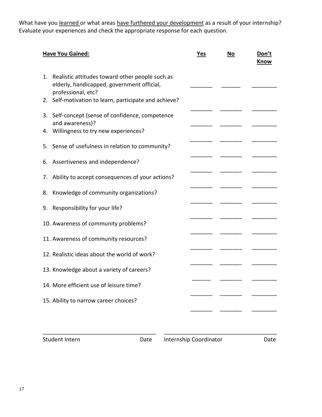What have you learned or what areas have furthered your development as a result of your internship? Evaluate your experiences and check the appropriate response for each question.

| <b>Have You Gained:</b>                                                                                                   | Yes | No | Don't<br>Know |
|---------------------------------------------------------------------------------------------------------------------------|-----|----|---------------|
| Realistic attitudes toward other people such as<br>1.<br>elderly, handicapped, government official,<br>professional, etc? |     |    |               |
| Self-motivation to learn, participate and achieve?<br>2.                                                                  |     |    |               |
| Self-concept (sense of confidence, competence<br>3.<br>and awareness)?                                                    |     |    |               |
| Willingness to try new experiences?<br>4.                                                                                 |     |    |               |
| 5. Sense of usefulness in relation to community?                                                                          |     |    |               |
| Assertiveness and independence?<br>6.                                                                                     |     |    |               |
| Ability to accept consequences of your actions?<br>7.                                                                     |     |    |               |
| Knowledge of community organizations?<br>8.                                                                               |     |    |               |
| Responsibility for your life?<br>9.                                                                                       |     |    |               |
| 10. Awareness of community problems?                                                                                      |     |    |               |
| 11. Awareness of community resources?                                                                                     |     |    |               |
| 12. Realistic ideas about the world of work?                                                                              |     |    |               |
| 13. Knowledge about a variety of careers?                                                                                 |     |    |               |
| 14. More efficient use of leisure time?                                                                                   |     |    |               |
| 15. Ability to narrow career choices?                                                                                     |     |    |               |
|                                                                                                                           |     |    |               |
|                                                                                                                           |     |    |               |

Student Intern **Date** Internship Coordinator Date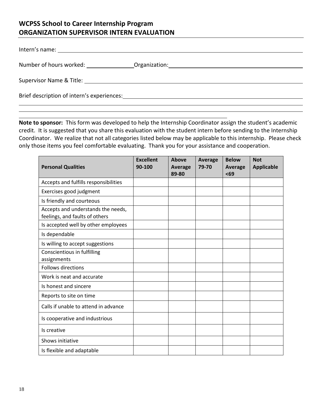# **WCPSS School to Career Internship Program ORGANIZATION SUPERVISOR INTERN EVALUATION**

|                                                                                                                | Number of hours worked: _________________Organization: __________________________ |
|----------------------------------------------------------------------------------------------------------------|-----------------------------------------------------------------------------------|
|                                                                                                                |                                                                                   |
| Brief description of intern's experiences: Notified that the set of the set of the set of the set of the set o |                                                                                   |
|                                                                                                                |                                                                                   |

**Note to sponsor:** This form was developed to help the Internship Coordinator assign the student's academic credit. It is suggested that you share this evaluation with the student intern before sending to the Internship Coordinator. We realize that not all categories listed below may be applicable to this internship. Please check only those items you feel comfortable evaluating. Thank you for your assistance and cooperation.

| <b>Personal Qualities</b>                                            | <b>Excellent</b><br>90-100 | Above<br>Average<br>89-80 | <b>Average</b><br>79-70 | <b>Below</b><br>Average<br>$69$ | <b>Not</b><br><b>Applicable</b> |
|----------------------------------------------------------------------|----------------------------|---------------------------|-------------------------|---------------------------------|---------------------------------|
| Accepts and fulfills responsibilities                                |                            |                           |                         |                                 |                                 |
| Exercises good judgment                                              |                            |                           |                         |                                 |                                 |
| Is friendly and courteous                                            |                            |                           |                         |                                 |                                 |
| Accepts and understands the needs,<br>feelings, and faults of others |                            |                           |                         |                                 |                                 |
| Is accepted well by other employees                                  |                            |                           |                         |                                 |                                 |
| Is dependable                                                        |                            |                           |                         |                                 |                                 |
| Is willing to accept suggestions                                     |                            |                           |                         |                                 |                                 |
| Conscientious in fulfilling<br>assignments                           |                            |                           |                         |                                 |                                 |
| <b>Follows directions</b>                                            |                            |                           |                         |                                 |                                 |
| Work is neat and accurate                                            |                            |                           |                         |                                 |                                 |
| Is honest and sincere                                                |                            |                           |                         |                                 |                                 |
| Reports to site on time                                              |                            |                           |                         |                                 |                                 |
| Calls if unable to attend in advance                                 |                            |                           |                         |                                 |                                 |
| Is cooperative and industrious                                       |                            |                           |                         |                                 |                                 |
| Is creative                                                          |                            |                           |                         |                                 |                                 |
| Shows initiative                                                     |                            |                           |                         |                                 |                                 |
| Is flexible and adaptable                                            |                            |                           |                         |                                 |                                 |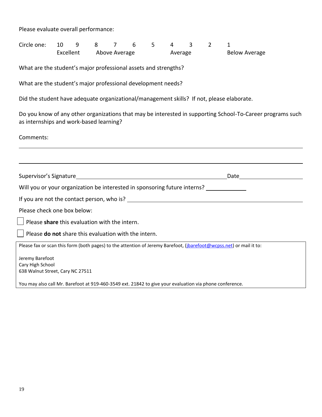Please evaluate overall performance:

| Circle one: 10 9 |                         |  |         |  |                      |  |  |  |  |
|------------------|-------------------------|--|---------|--|----------------------|--|--|--|--|
|                  | Excellent Above Average |  | Average |  | <b>Below Average</b> |  |  |  |  |

What are the student's major professional assets and strengths?

What are the student's major professional development needs?

Did the student have adequate organizational/management skills? If not, please elaborate.

Do you know of any other organizations that may be interested in supporting School-To-Career programs such as internships and work-based learning?

Comments:

| Supervisor's Signature and the contract of the supervisor's Signature                                               | Date |
|---------------------------------------------------------------------------------------------------------------------|------|
| Will you or your organization be interested in sponsoring future interns?                                           |      |
| If you are not the contact person, who is? If you are not the contact person who is?                                |      |
| Please check one box below:                                                                                         |      |
| $\vert \ \vert$ Please share this evaluation with the intern.                                                       |      |
| $\vert \ \vert$ Please <b>do not</b> share this evaluation with the intern.                                         |      |
| Please fax or scan this form (both pages) to the attention of Jeremy Barefoot, (jbarefoot@wcpss.net) or mail it to: |      |
| Jeremy Barefoot<br>Cary High School<br>638 Walnut Street, Cary NC 27511                                             |      |
| You may also call Mr. Barefoot at 919-460-3549 ext. 21842 to give your evaluation via phone conference.             |      |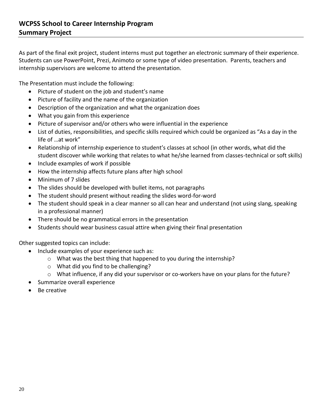As part of the final exit project, student interns must put together an electronic summary of their experience. Students can use PowerPoint, Prezi, Animoto or some type of video presentation. Parents, teachers and internship supervisors are welcome to attend the presentation.

The Presentation must include the following:

- Picture of student on the job and student's name
- Picture of facility and the name of the organization
- Description of the organization and what the organization does
- What you gain from this experience
- Picture of supervisor and/or others who were influential in the experience
- List of duties, responsibilities, and specific skills required which could be organized as "As a day in the life of …at work"
- Relationship of internship experience to student's classes at school (in other words, what did the student discover while working that relates to what he/she learned from classes-technical or soft skills)
- Include examples of work if possible
- How the internship affects future plans after high school
- Minimum of 7 slides
- The slides should be developed with bullet items, not paragraphs
- The student should present without reading the slides word-for-word
- The student should speak in a clear manner so all can hear and understand (not using slang, speaking in a professional manner)
- There should be no grammatical errors in the presentation
- Students should wear business casual attire when giving their final presentation

Other suggested topics can include:

- Include examples of your experience such as:
	- o What was the best thing that happened to you during the internship?
	- o What did you find to be challenging?
	- $\circ$  What influence, if any did your supervisor or co-workers have on your plans for the future?
- Summarize overall experience
- Be creative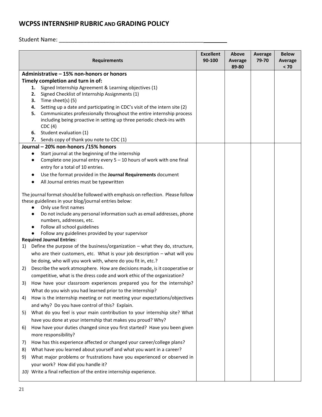# **WCPSS INTERNSHIP RUBRIC AND GRADING POLICY**

Student Name: \_\_\_\_\_\_\_\_\_\_\_\_\_\_\_\_\_\_\_\_\_\_\_\_\_\_\_\_\_\_\_\_\_\_\_\_\_\_\_\_\_\_\_\_\_\_

| <b>Requirements</b>                                                                 | <b>Excellent</b><br>90-100 | Above<br><b>Average</b><br>89-80 | <b>Average</b><br>79-70 | <b>Below</b><br><b>Average</b><br>< 70 |
|-------------------------------------------------------------------------------------|----------------------------|----------------------------------|-------------------------|----------------------------------------|
| Administrative - 15% non-honors or honors                                           |                            |                                  |                         |                                        |
| Timely completion and turn in of:                                                   |                            |                                  |                         |                                        |
| Signed Internship Agreement & Learning objectives (1)<br>1.                         |                            |                                  |                         |                                        |
| Signed Checklist of Internship Assignments (1)<br>2.                                |                            |                                  |                         |                                        |
| Time sheet(s) (5)<br>3.                                                             |                            |                                  |                         |                                        |
| Setting up a date and participating in CDC's visit of the intern site (2)<br>4.     |                            |                                  |                         |                                        |
| Communicates professionally throughout the entire internship process<br>5.          |                            |                                  |                         |                                        |
| including being proactive in setting up three periodic check-ins with<br>CDC(4)     |                            |                                  |                         |                                        |
| 6. Student evaluation (1)                                                           |                            |                                  |                         |                                        |
| 7. Sends copy of thank you note to CDC (1)                                          |                            |                                  |                         |                                        |
| Journal - 20% non-honors /15% honors                                                |                            |                                  |                         |                                        |
| Start journal at the beginning of the internship<br>$\bullet$                       |                            |                                  |                         |                                        |
| Complete one journal entry every $5 - 10$ hours of work with one final<br>$\bullet$ |                            |                                  |                         |                                        |
| entry for a total of 10 entries.                                                    |                            |                                  |                         |                                        |
| Use the format provided in the Journal Requirements document                        |                            |                                  |                         |                                        |
| All Journal entries must be typewritten                                             |                            |                                  |                         |                                        |
| The journal format should be followed with emphasis on reflection. Please follow    |                            |                                  |                         |                                        |
| these guidelines in your blog/journal entries below:                                |                            |                                  |                         |                                        |
| Only use first names<br>$\bullet$                                                   |                            |                                  |                         |                                        |
| Do not include any personal information such as email addresses, phone<br>$\bullet$ |                            |                                  |                         |                                        |
| numbers, addresses, etc.                                                            |                            |                                  |                         |                                        |
| Follow all school guidelines                                                        |                            |                                  |                         |                                        |
| Follow any guidelines provided by your supervisor                                   |                            |                                  |                         |                                        |
| <b>Required Journal Entries:</b>                                                    |                            |                                  |                         |                                        |
| Define the purpose of the business/organization - what they do, structure,<br>1)    |                            |                                  |                         |                                        |
| who are their customers, etc. What is your job description - what will you          |                            |                                  |                         |                                        |
| be doing, who will you work with, where do you fit in, etc.?                        |                            |                                  |                         |                                        |
| Describe the work atmosphere. How are decisions made, is it cooperative or<br>2)    |                            |                                  |                         |                                        |
| competitive, what is the dress code and work ethic of the organization?             |                            |                                  |                         |                                        |
| How have your classroom experiences prepared you for the internship?<br>3)          |                            |                                  |                         |                                        |
| What do you wish you had learned prior to the internship?                           |                            |                                  |                         |                                        |
| How is the internship meeting or not meeting your expectations/objectives<br>4)     |                            |                                  |                         |                                        |
| and why? Do you have control of this? Explain.                                      |                            |                                  |                         |                                        |
| What do you feel is your main contribution to your internship site? What<br>5)      |                            |                                  |                         |                                        |
| have you done at your internship that makes you proud? Why?                         |                            |                                  |                         |                                        |
| How have your duties changed since you first started? Have you been given<br>6)     |                            |                                  |                         |                                        |
| more responsibility?                                                                |                            |                                  |                         |                                        |
| How has this experience affected or changed your career/college plans?<br>7)        |                            |                                  |                         |                                        |
| What have you learned about yourself and what you want in a career?<br>8)           |                            |                                  |                         |                                        |
| What major problems or frustrations have you experienced or observed in<br>9)       |                            |                                  |                         |                                        |
| your work? How did you handle it?                                                   |                            |                                  |                         |                                        |
| 10) Write a final reflection of the entire internship experience.                   |                            |                                  |                         |                                        |
|                                                                                     |                            |                                  |                         |                                        |